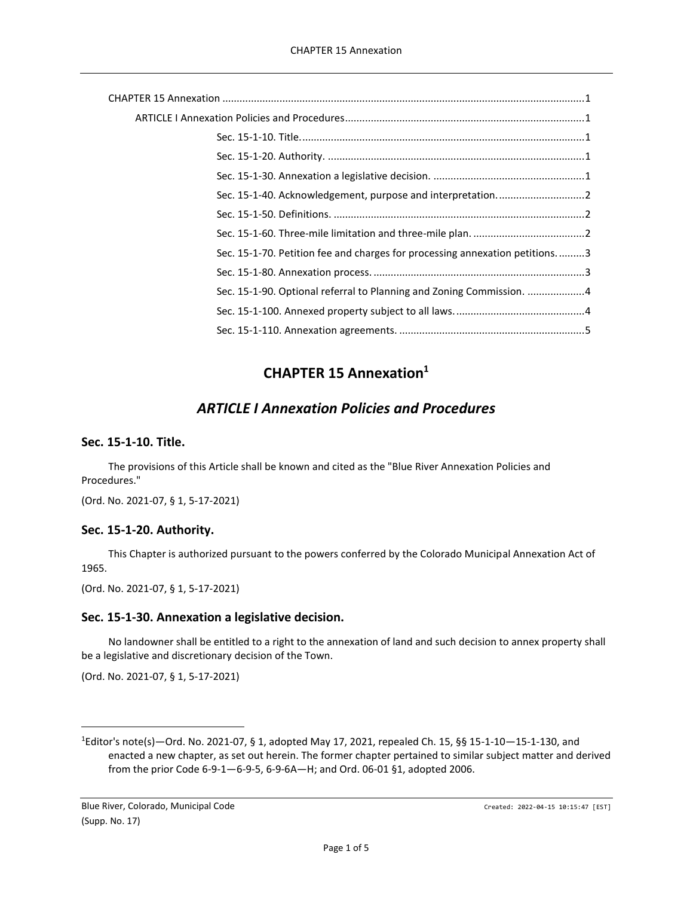| Sec. 15-1-70. Petition fee and charges for processing annexation petitions3 |
|-----------------------------------------------------------------------------|
|                                                                             |
| Sec. 15-1-90. Optional referral to Planning and Zoning Commission. 4        |
|                                                                             |
|                                                                             |

# **CHAPTER 15 Annexation<sup>1</sup>**

# *ARTICLE I Annexation Policies and Procedures*

## <span id="page-0-2"></span><span id="page-0-1"></span><span id="page-0-0"></span>**Sec. 15-1-10. Title.**

The provisions of this Article shall be known and cited as the "Blue River Annexation Policies and Procedures."

(Ord. No. 2021-07, § 1, 5-17-2021)

## <span id="page-0-3"></span>**Sec. 15-1-20. Authority.**

This Chapter is authorized pursuant to the powers conferred by the Colorado Municipal Annexation Act of 1965.

(Ord. No. 2021-07, § 1, 5-17-2021)

## <span id="page-0-4"></span>**Sec. 15-1-30. Annexation a legislative decision.**

No landowner shall be entitled to a right to the annexation of land and such decision to annex property shall be a legislative and discretionary decision of the Town.

(Ord. No. 2021-07, § 1, 5-17-2021)

<sup>1</sup>Editor's note(s)—Ord. No. 2021-07, § 1, adopted May 17, 2021, repealed Ch. 15, §§ 15-1-10—15-1-130, and enacted a new chapter, as set out herein. The former chapter pertained to similar subject matter and derived from the prior Code 6-9-1—6-9-5, 6-9-6A—H; and Ord. 06-01 §1, adopted 2006.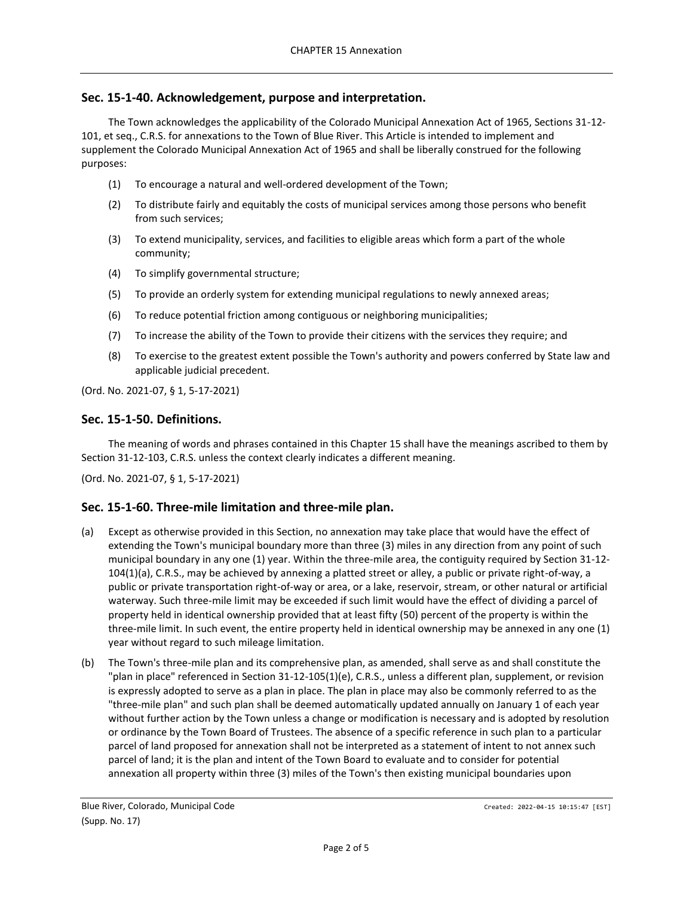## <span id="page-1-0"></span>**Sec. 15-1-40. Acknowledgement, purpose and interpretation.**

The Town acknowledges the applicability of the Colorado Municipal Annexation Act of 1965, Sections 31-12- 101, et seq., C.R.S. for annexations to the Town of Blue River. This Article is intended to implement and supplement the Colorado Municipal Annexation Act of 1965 and shall be liberally construed for the following purposes:

- (1) To encourage a natural and well-ordered development of the Town;
- (2) To distribute fairly and equitably the costs of municipal services among those persons who benefit from such services;
- (3) To extend municipality, services, and facilities to eligible areas which form a part of the whole community;
- (4) To simplify governmental structure;
- (5) To provide an orderly system for extending municipal regulations to newly annexed areas;
- (6) To reduce potential friction among contiguous or neighboring municipalities;
- (7) To increase the ability of the Town to provide their citizens with the services they require; and
- (8) To exercise to the greatest extent possible the Town's authority and powers conferred by State law and applicable judicial precedent.

(Ord. No. 2021-07, § 1, 5-17-2021)

## <span id="page-1-1"></span>**Sec. 15-1-50. Definitions.**

The meaning of words and phrases contained in this Chapter 15 shall have the meanings ascribed to them by Section 31-12-103, C.R.S. unless the context clearly indicates a different meaning.

(Ord. No. 2021-07, § 1, 5-17-2021)

#### <span id="page-1-2"></span>**Sec. 15-1-60. Three-mile limitation and three-mile plan.**

- (a) Except as otherwise provided in this Section, no annexation may take place that would have the effect of extending the Town's municipal boundary more than three (3) miles in any direction from any point of such municipal boundary in any one (1) year. Within the three-mile area, the contiguity required by Section 31-12- 104(1)(a), C.R.S., may be achieved by annexing a platted street or alley, a public or private right-of-way, a public or private transportation right-of-way or area, or a lake, reservoir, stream, or other natural or artificial waterway. Such three-mile limit may be exceeded if such limit would have the effect of dividing a parcel of property held in identical ownership provided that at least fifty (50) percent of the property is within the three-mile limit. In such event, the entire property held in identical ownership may be annexed in any one (1) year without regard to such mileage limitation.
- (b) The Town's three-mile plan and its comprehensive plan, as amended, shall serve as and shall constitute the "plan in place" referenced in Section 31-12-105(1)(e), C.R.S., unless a different plan, supplement, or revision is expressly adopted to serve as a plan in place. The plan in place may also be commonly referred to as the "three-mile plan" and such plan shall be deemed automatically updated annually on January 1 of each year without further action by the Town unless a change or modification is necessary and is adopted by resolution or ordinance by the Town Board of Trustees. The absence of a specific reference in such plan to a particular parcel of land proposed for annexation shall not be interpreted as a statement of intent to not annex such parcel of land; it is the plan and intent of the Town Board to evaluate and to consider for potential annexation all property within three (3) miles of the Town's then existing municipal boundaries upon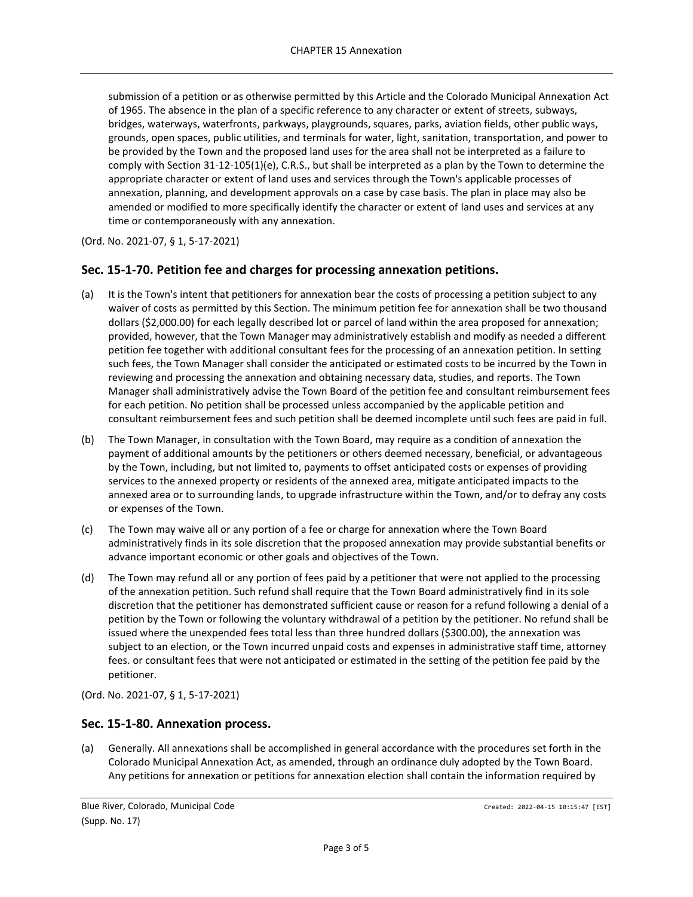submission of a petition or as otherwise permitted by this Article and the Colorado Municipal Annexation Act of 1965. The absence in the plan of a specific reference to any character or extent of streets, subways, bridges, waterways, waterfronts, parkways, playgrounds, squares, parks, aviation fields, other public ways, grounds, open spaces, public utilities, and terminals for water, light, sanitation, transportation, and power to be provided by the Town and the proposed land uses for the area shall not be interpreted as a failure to comply with Section 31-12-105(1)(e), C.R.S., but shall be interpreted as a plan by the Town to determine the appropriate character or extent of land uses and services through the Town's applicable processes of annexation, planning, and development approvals on a case by case basis. The plan in place may also be amended or modified to more specifically identify the character or extent of land uses and services at any time or contemporaneously with any annexation.

(Ord. No. 2021-07, § 1, 5-17-2021)

## <span id="page-2-0"></span>**Sec. 15-1-70. Petition fee and charges for processing annexation petitions.**

- (a) It is the Town's intent that petitioners for annexation bear the costs of processing a petition subject to any waiver of costs as permitted by this Section. The minimum petition fee for annexation shall be two thousand dollars (\$2,000.00) for each legally described lot or parcel of land within the area proposed for annexation; provided, however, that the Town Manager may administratively establish and modify as needed a different petition fee together with additional consultant fees for the processing of an annexation petition. In setting such fees, the Town Manager shall consider the anticipated or estimated costs to be incurred by the Town in reviewing and processing the annexation and obtaining necessary data, studies, and reports. The Town Manager shall administratively advise the Town Board of the petition fee and consultant reimbursement fees for each petition. No petition shall be processed unless accompanied by the applicable petition and consultant reimbursement fees and such petition shall be deemed incomplete until such fees are paid in full.
- (b) The Town Manager, in consultation with the Town Board, may require as a condition of annexation the payment of additional amounts by the petitioners or others deemed necessary, beneficial, or advantageous by the Town, including, but not limited to, payments to offset anticipated costs or expenses of providing services to the annexed property or residents of the annexed area, mitigate anticipated impacts to the annexed area or to surrounding lands, to upgrade infrastructure within the Town, and/or to defray any costs or expenses of the Town.
- (c) The Town may waive all or any portion of a fee or charge for annexation where the Town Board administratively finds in its sole discretion that the proposed annexation may provide substantial benefits or advance important economic or other goals and objectives of the Town.
- (d) The Town may refund all or any portion of fees paid by a petitioner that were not applied to the processing of the annexation petition. Such refund shall require that the Town Board administratively find in its sole discretion that the petitioner has demonstrated sufficient cause or reason for a refund following a denial of a petition by the Town or following the voluntary withdrawal of a petition by the petitioner. No refund shall be issued where the unexpended fees total less than three hundred dollars (\$300.00), the annexation was subject to an election, or the Town incurred unpaid costs and expenses in administrative staff time, attorney fees. or consultant fees that were not anticipated or estimated in the setting of the petition fee paid by the petitioner.

(Ord. No. 2021-07, § 1, 5-17-2021)

#### <span id="page-2-1"></span>**Sec. 15-1-80. Annexation process.**

(a) Generally. All annexations shall be accomplished in general accordance with the procedures set forth in the Colorado Municipal Annexation Act, as amended, through an ordinance duly adopted by the Town Board. Any petitions for annexation or petitions for annexation election shall contain the information required by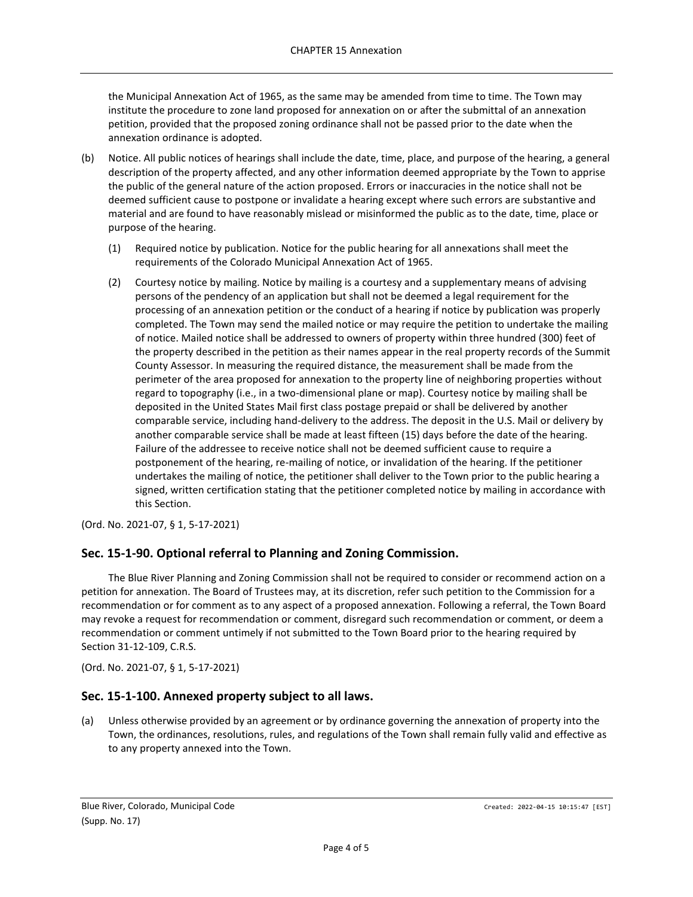the Municipal Annexation Act of 1965, as the same may be amended from time to time. The Town may institute the procedure to zone land proposed for annexation on or after the submittal of an annexation petition, provided that the proposed zoning ordinance shall not be passed prior to the date when the annexation ordinance is adopted.

- (b) Notice. All public notices of hearings shall include the date, time, place, and purpose of the hearing, a general description of the property affected, and any other information deemed appropriate by the Town to apprise the public of the general nature of the action proposed. Errors or inaccuracies in the notice shall not be deemed sufficient cause to postpone or invalidate a hearing except where such errors are substantive and material and are found to have reasonably mislead or misinformed the public as to the date, time, place or purpose of the hearing.
	- (1) Required notice by publication. Notice for the public hearing for all annexations shall meet the requirements of the Colorado Municipal Annexation Act of 1965.
	- (2) Courtesy notice by mailing. Notice by mailing is a courtesy and a supplementary means of advising persons of the pendency of an application but shall not be deemed a legal requirement for the processing of an annexation petition or the conduct of a hearing if notice by publication was properly completed. The Town may send the mailed notice or may require the petition to undertake the mailing of notice. Mailed notice shall be addressed to owners of property within three hundred (300) feet of the property described in the petition as their names appear in the real property records of the Summit County Assessor. In measuring the required distance, the measurement shall be made from the perimeter of the area proposed for annexation to the property line of neighboring properties without regard to topography (i.e., in a two-dimensional plane or map). Courtesy notice by mailing shall be deposited in the United States Mail first class postage prepaid or shall be delivered by another comparable service, including hand-delivery to the address. The deposit in the U.S. Mail or delivery by another comparable service shall be made at least fifteen (15) days before the date of the hearing. Failure of the addressee to receive notice shall not be deemed sufficient cause to require a postponement of the hearing, re-mailing of notice, or invalidation of the hearing. If the petitioner undertakes the mailing of notice, the petitioner shall deliver to the Town prior to the public hearing a signed, written certification stating that the petitioner completed notice by mailing in accordance with this Section.

(Ord. No. 2021-07, § 1, 5-17-2021)

#### <span id="page-3-0"></span>**Sec. 15-1-90. Optional referral to Planning and Zoning Commission.**

The Blue River Planning and Zoning Commission shall not be required to consider or recommend action on a petition for annexation. The Board of Trustees may, at its discretion, refer such petition to the Commission for a recommendation or for comment as to any aspect of a proposed annexation. Following a referral, the Town Board may revoke a request for recommendation or comment, disregard such recommendation or comment, or deem a recommendation or comment untimely if not submitted to the Town Board prior to the hearing required by Section 31-12-109, C.R.S.

(Ord. No. 2021-07, § 1, 5-17-2021)

#### <span id="page-3-1"></span>**Sec. 15-1-100. Annexed property subject to all laws.**

(a) Unless otherwise provided by an agreement or by ordinance governing the annexation of property into the Town, the ordinances, resolutions, rules, and regulations of the Town shall remain fully valid and effective as to any property annexed into the Town.